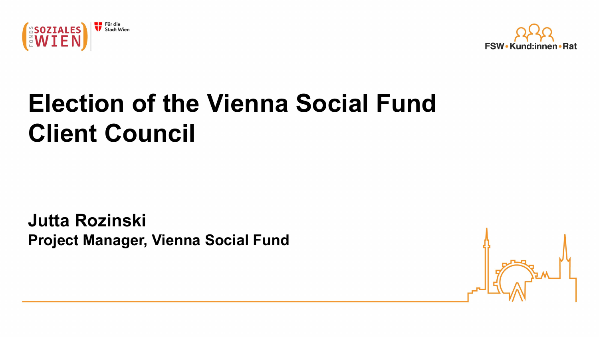



# **Election of the Vienna Social Fund Client Council**

**Jutta Rozinski Project Manager, Vienna Social Fund**

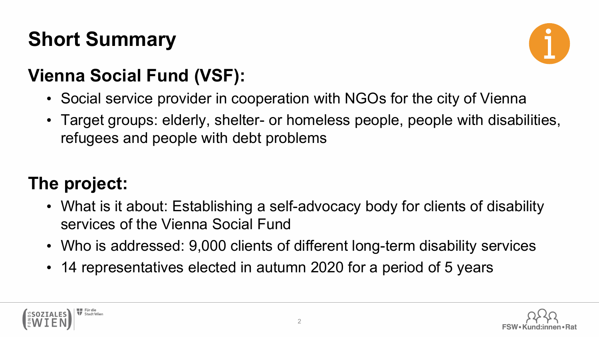# **Short Summary**



#### **Vienna Social Fund (VSF):**

- Social service provider in cooperation with NGOs for the city of Vienna
- Target groups: elderly, shelter- or homeless people, people with disabilities, refugees and people with debt problems

#### **The project:**

- What is it about: Establishing a self-advocacy body for clients of disability services of the Vienna Social Fund
- Who is addressed: 9,000 clients of different long-term disability services
- 14 representatives elected in autumn 2020 for a period of 5 years



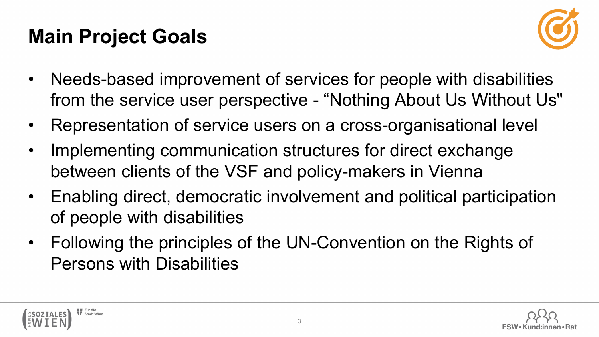# **Main Project Goals**

Stadt Wien



- Needs-based improvement of services for people with disabilities from the service user perspective - "Nothing About Us Without Us"
- Representation of service users on a cross-organisational level
- Implementing communication structures for direct exchange between clients of the VSF and policy-makers in Vienna
- Enabling direct, democratic involvement and political participation of people with disabilities
- Following the principles of the UN-Convention on the Rights of Persons with Disabilities

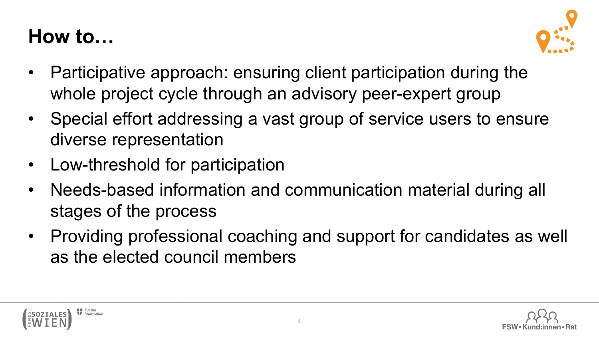### **How to…**



- Participative approach: ensuring client participation during the whole project cycle through an advisory peer-expert group
- Special effort addressing a vast group of service users to ensure diverse representation
- Low-threshold for participation
- Needs-based information and communication material during all stages of the process
- Providing professional coaching and support for candidates as well as the elected council members



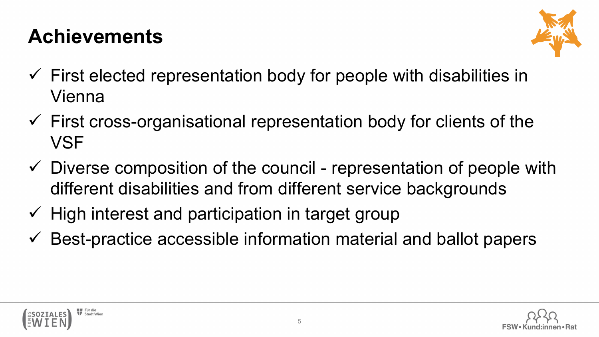### **Achievements**



- $\checkmark$  First elected representation body for people with disabilities in Vienna
- $\checkmark$  First cross-organisational representation body for clients of the **VSF**
- $\checkmark$  Diverse composition of the council representation of people with different disabilities and from different service backgrounds
- $\checkmark$  High interest and participation in target group
- $\checkmark$  Best-practice accessible information material and ballot papers



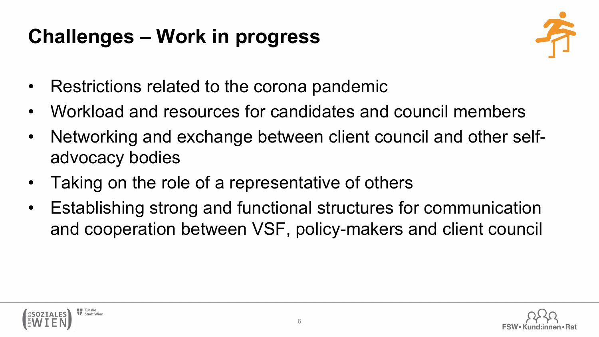# **Challenges – Work in progress**



- Restrictions related to the corona pandemic
- Workload and resources for candidates and council members
- Networking and exchange between client council and other selfadvocacy bodies
- Taking on the role of a representative of others
- Establishing strong and functional structures for communication and cooperation between VSF, policy-makers and client council



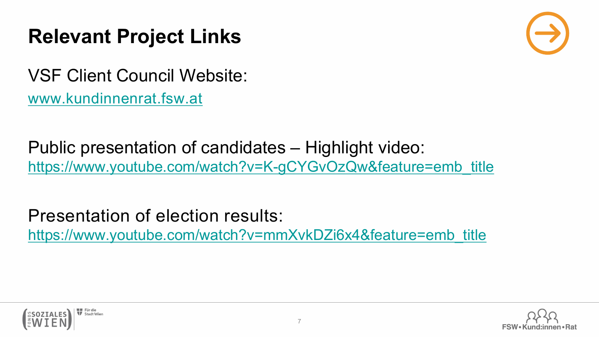#### **Relevant Project Links**



VSF Client Council Website: [www.kundinnenrat.fsw.at](http://www.kundinnenrat.fsw.at/)

Public presentation of candidates – Highlight video: [https://www.youtube.com/watch?v=K-gCYGvOzQw&feature=emb\\_title](https://www.youtube.com/watch?v=K-gCYGvOzQw&feature=emb_title)

Presentation of election results: [https://www.youtube.com/watch?v=mmXvkDZi6x4&feature=emb\\_title](https://www.youtube.com/watch?v=mmXvkDZi6x4&feature=emb_title)